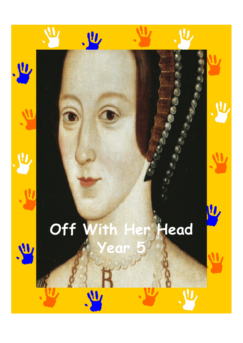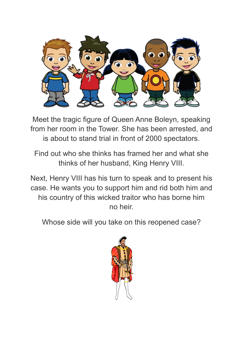

Meet the tragic figure of Queen Anne Boleyn, speaking from her room in the Tower. She has been arrested, and is about to stand trial in front of 2000 spectators.

Find out who she thinks has framed her and what she thinks of her husband, King Henry VIII.

Next, Henry VIII has his turn to speak and to present his case. He wants you to support him and rid both him and his country of this wicked traitor who has borne him no heir.

Whose side will you take on this reopened case?

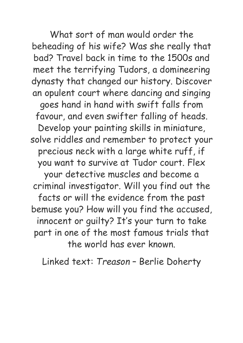What sort of man would order the beheading of his wife? Was she really that bad? Travel back in time to the 1500s and meet the terrifying Tudors, a domineering dynasty that changed our history. Discover an opulent court where dancing and singing goes hand in hand with swift falls from favour, and even swifter falling of heads. Develop your painting skills in miniature, solve riddles and remember to protect your precious neck with a large white ruff, if you want to survive at Tudor court. Flex your detective muscles and become a criminal investigator. Will you find out the facts or will the evidence from the past bemuse you? How will you find the accused, innocent or guilty? It's your turn to take part in one of the most famous trials that the world has ever known.

Linked text: *Treason* – Berlie Doherty